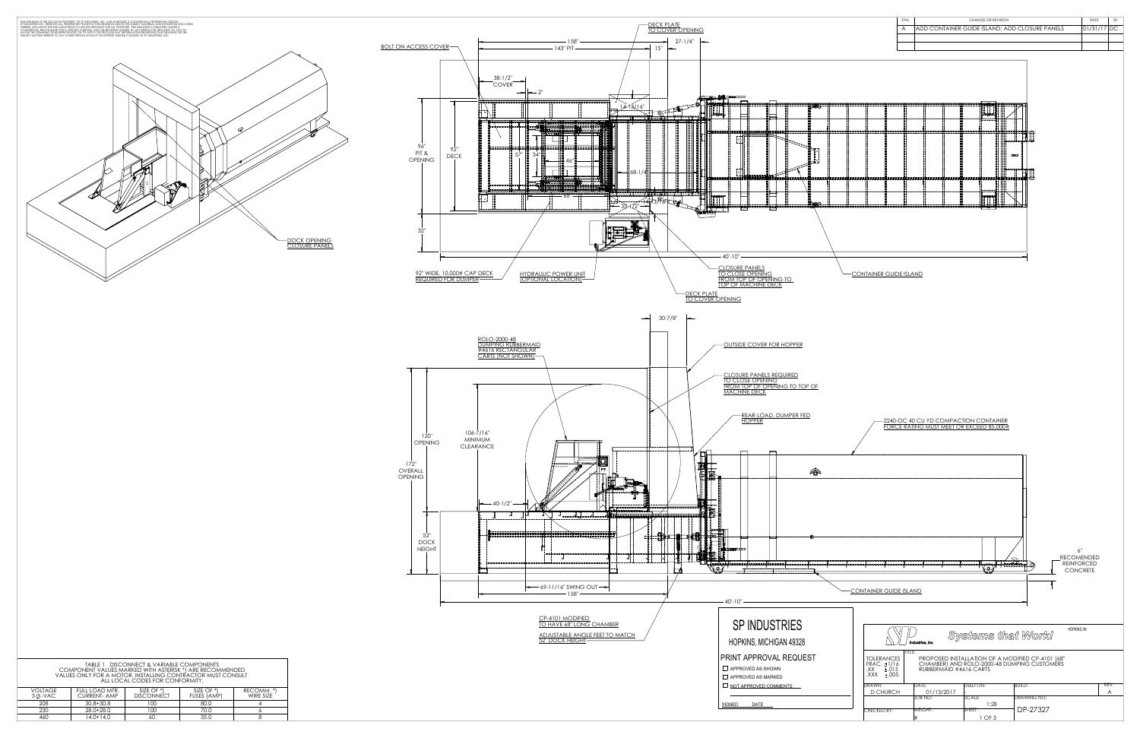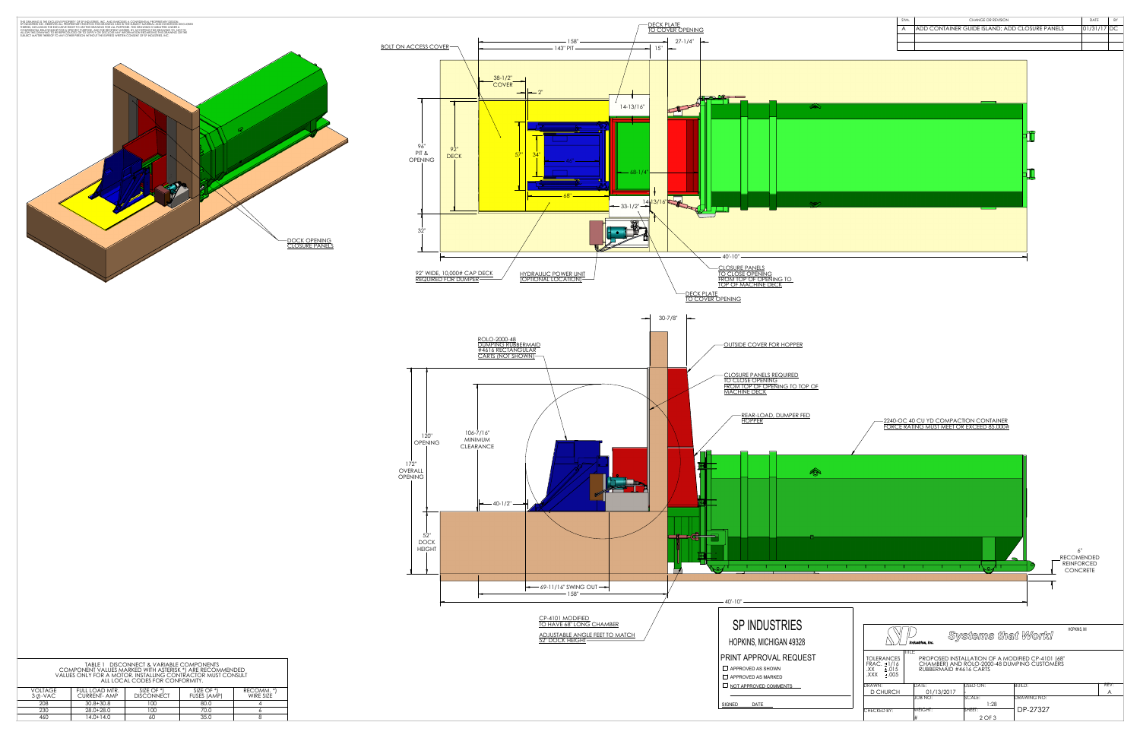|                                | THIS DRAWING IS THE EXCLUSIVE PROPERTY OF SP INDUSTRIES, INC. AND EMBODIES A CONFIDENTIAL PROPRIETARY DESIGN.<br>SP INDUSTRIES INC. RESERVES ALL PROPRIETARY RIGHTS IN THIS DRAWING AND IN THE SUBJECT MATERIAL AND INVENTIONS DI |                          |                           |                                             |                                |                         |
|--------------------------------|-----------------------------------------------------------------------------------------------------------------------------------------------------------------------------------------------------------------------------------|--------------------------|---------------------------|---------------------------------------------|--------------------------------|-------------------------|
|                                |                                                                                                                                                                                                                                   |                          |                           |                                             |                                | <b>BOLT ON ACCES</b>    |
|                                |                                                                                                                                                                                                                                   |                          |                           |                                             | DOCK OPENING<br>CLOSURE PANELS | 96<br>PIT<br>OPEN<br>32 |
|                                |                                                                                                                                                                                                                                   |                          |                           |                                             |                                | $\frac{92}{RE}$         |
|                                |                                                                                                                                                                                                                                   |                          |                           |                                             |                                |                         |
|                                |                                                                                                                                                                                                                                   |                          |                           |                                             |                                |                         |
|                                |                                                                                                                                                                                                                                   |                          |                           |                                             |                                |                         |
|                                |                                                                                                                                                                                                                                   |                          |                           |                                             |                                |                         |
|                                |                                                                                                                                                                                                                                   |                          |                           |                                             |                                |                         |
|                                |                                                                                                                                                                                                                                   |                          |                           |                                             |                                |                         |
|                                |                                                                                                                                                                                                                                   |                          |                           |                                             |                                | OPI                     |
|                                |                                                                                                                                                                                                                                   |                          |                           |                                             |                                | 172"<br>OVERALL         |
|                                |                                                                                                                                                                                                                                   |                          |                           |                                             |                                | OPENING                 |
|                                |                                                                                                                                                                                                                                   |                          |                           |                                             |                                |                         |
|                                |                                                                                                                                                                                                                                   |                          |                           |                                             |                                | D                       |
|                                |                                                                                                                                                                                                                                   |                          |                           |                                             |                                | HE                      |
|                                |                                                                                                                                                                                                                                   |                          |                           |                                             |                                |                         |
|                                |                                                                                                                                                                                                                                   |                          |                           |                                             |                                |                         |
|                                |                                                                                                                                                                                                                                   |                          |                           |                                             |                                |                         |
|                                | TABLE 1 DISCONNECT & VARIABLE COMPONENTS<br>COMPONENT VALUES MARKED WITH ASTERISK *) ARE RECOMMENDED<br>VALUES ONLY FOR A MOTOR. INSTALLING CONTRACTOR MUST CONSULT<br>ALL LOCAL CODES FOR CONFORMITY.                            |                          |                           |                                             |                                |                         |
| <b>VOLTAGE</b><br>$3\phi$ -VAC | FULL LOAD MTR.<br><b>CURRENT- AMP</b>                                                                                                                                                                                             | SIZE OF *)<br>DISCONNECT | SIZE OF *)<br>FUSES (AMP) | RECOMM. *)<br>WIRE SIZE                     |                                |                         |
| 208<br>$\overline{230}$<br>460 | $30.8 + 30.8$<br>28.0+28.0<br>$14.0 + 14.0$                                                                                                                                                                                       | 100<br>100<br>60         | 80.0<br>70.0<br>35.0      | $\overline{4}$<br>$\boldsymbol{6}$<br>$8\,$ |                                |                         |